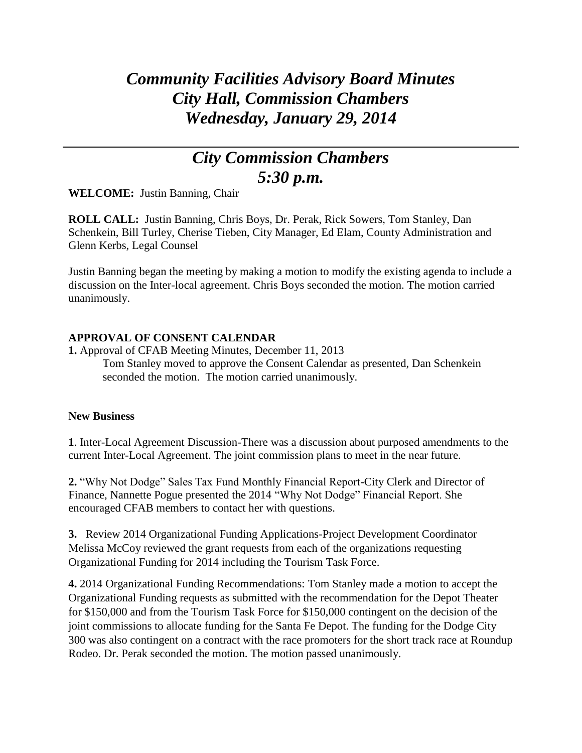## *Community Facilities Advisory Board Minutes City Hall, Commission Chambers Wednesday, January 29, 2014*

## *City Commission Chambers 5:30 p.m.*

**WELCOME:** Justin Banning, Chair

**ROLL CALL:** Justin Banning, Chris Boys, Dr. Perak, Rick Sowers, Tom Stanley, Dan Schenkein, Bill Turley, Cherise Tieben, City Manager, Ed Elam, County Administration and Glenn Kerbs, Legal Counsel

Justin Banning began the meeting by making a motion to modify the existing agenda to include a discussion on the Inter-local agreement. Chris Boys seconded the motion. The motion carried unanimously.

## **APPROVAL OF CONSENT CALENDAR**

**1.** Approval of CFAB Meeting Minutes, December 11, 2013 Tom Stanley moved to approve the Consent Calendar as presented, Dan Schenkein seconded the motion. The motion carried unanimously.

## **New Business**

**1**. Inter-Local Agreement Discussion-There was a discussion about purposed amendments to the current Inter-Local Agreement. The joint commission plans to meet in the near future.

**2.** "Why Not Dodge" Sales Tax Fund Monthly Financial Report-City Clerk and Director of Finance, Nannette Pogue presented the 2014 "Why Not Dodge" Financial Report. She encouraged CFAB members to contact her with questions.

**3.** Review 2014 Organizational Funding Applications-Project Development Coordinator Melissa McCoy reviewed the grant requests from each of the organizations requesting Organizational Funding for 2014 including the Tourism Task Force.

**4.** 2014 Organizational Funding Recommendations: Tom Stanley made a motion to accept the Organizational Funding requests as submitted with the recommendation for the Depot Theater for \$150,000 and from the Tourism Task Force for \$150,000 contingent on the decision of the joint commissions to allocate funding for the Santa Fe Depot. The funding for the Dodge City 300 was also contingent on a contract with the race promoters for the short track race at Roundup Rodeo. Dr. Perak seconded the motion. The motion passed unanimously.